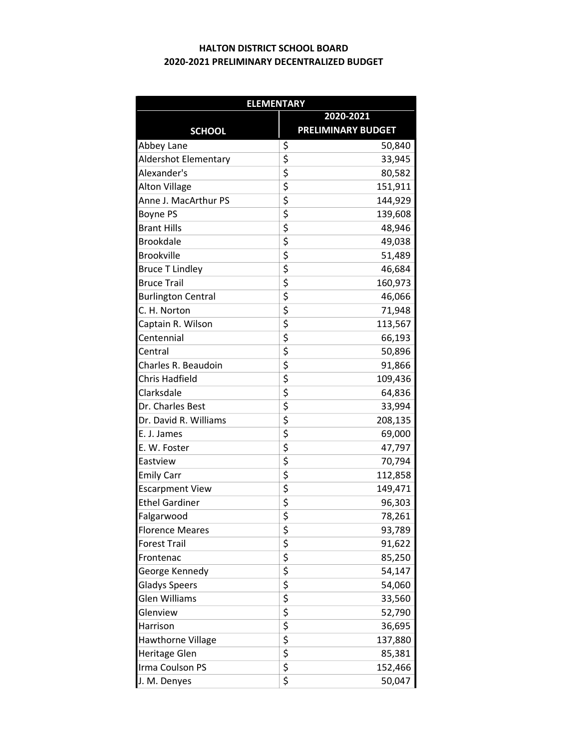## 2020-2021 PRELIMINARY DECENTRALIZED BUDGET HALTON DISTRICT SCHOOL BOARD

| <b>ELEMENTARY</b>         |                                                |  |  |  |
|---------------------------|------------------------------------------------|--|--|--|
|                           | 2020-2021                                      |  |  |  |
| <b>SCHOOL</b>             | <b>PRELIMINARY BUDGET</b>                      |  |  |  |
| Abbey Lane                | \$<br>50,840                                   |  |  |  |
| Aldershot Elementary      | \$<br>33,945                                   |  |  |  |
| Alexander's               | \$<br>80,582                                   |  |  |  |
| <b>Alton Village</b>      | $\overline{\boldsymbol{\varsigma}}$<br>151,911 |  |  |  |
| Anne J. MacArthur PS      | \$<br>144,929                                  |  |  |  |
| <b>Boyne PS</b>           | \$<br>139,608                                  |  |  |  |
| <b>Brant Hills</b>        | $\overline{\boldsymbol{\zeta}}$<br>48,946      |  |  |  |
| <b>Brookdale</b>          | \$<br>49,038                                   |  |  |  |
| <b>Brookville</b>         | \$<br>51,489                                   |  |  |  |
| <b>Bruce T Lindley</b>    | \$<br>46,684                                   |  |  |  |
| <b>Bruce Trail</b>        | \$<br>160,973                                  |  |  |  |
| <b>Burlington Central</b> | \$<br>46,066                                   |  |  |  |
| C. H. Norton              | \$<br>71,948                                   |  |  |  |
| Captain R. Wilson         | \$<br>113,567                                  |  |  |  |
| Centennial                | \$<br>66,193                                   |  |  |  |
| Central                   | \$<br>50,896                                   |  |  |  |
| Charles R. Beaudoin       | \$<br>91,866                                   |  |  |  |
| Chris Hadfield            | \$<br>109,436                                  |  |  |  |
| Clarksdale                | \$<br>64,836                                   |  |  |  |
| Dr. Charles Best          | \$<br>33,994                                   |  |  |  |
| Dr. David R. Williams     | 208,135                                        |  |  |  |
| E. J. James               | $\frac{1}{2}$<br>69,000                        |  |  |  |
| E. W. Foster              | $\overline{\boldsymbol{\varsigma}}$<br>47,797  |  |  |  |
| Eastview                  | \$<br>70,794                                   |  |  |  |
| <b>Emily Carr</b>         | \$<br>112,858                                  |  |  |  |
| <b>Escarpment View</b>    | \$<br>149,471                                  |  |  |  |
| <b>Ethel Gardiner</b>     | \$<br>96,303                                   |  |  |  |
| Falgarwood                | \$<br>78,261                                   |  |  |  |
| <b>Florence Meares</b>    | \$<br>93,789                                   |  |  |  |
| Forest Trail              | \$<br>91,622                                   |  |  |  |
| Frontenac                 | \$<br>85,250                                   |  |  |  |
| George Kennedy            | \$<br>54,147                                   |  |  |  |
| <b>Gladys Speers</b>      | \$<br>54,060                                   |  |  |  |
| Glen Williams             | 33,560                                         |  |  |  |
| Glenview                  | 52,790                                         |  |  |  |
| Harrison                  | $rac{5}{5}$<br>36,695                          |  |  |  |
| <b>Hawthorne Village</b>  | \$<br>137,880                                  |  |  |  |
| Heritage Glen             | \$<br>85,381                                   |  |  |  |
| Irma Coulson PS           | \$<br>152,466                                  |  |  |  |
| J. M. Denyes              | $\overline{\boldsymbol{\zeta}}$<br>50,047      |  |  |  |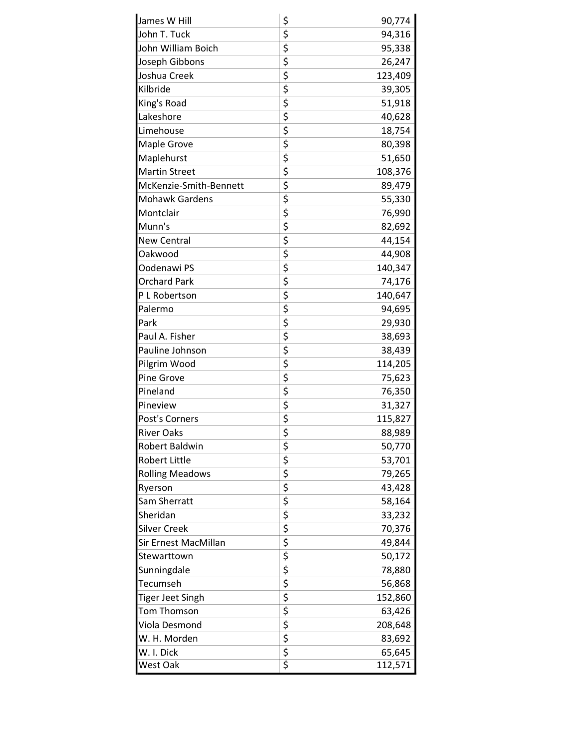| James W Hill            | \$<br>90,774  |
|-------------------------|---------------|
| John T. Tuck            | \$<br>94,316  |
| John William Boich      | \$<br>95,338  |
| Joseph Gibbons          | \$<br>26,247  |
| Joshua Creek            | \$<br>123,409 |
| Kilbride                | \$<br>39,305  |
| King's Road             | \$<br>51,918  |
| Lakeshore               | \$<br>40,628  |
| Limehouse               | \$<br>18,754  |
| Maple Grove             | \$<br>80,398  |
| Maplehurst              | \$<br>51,650  |
| <b>Martin Street</b>    | \$<br>108,376 |
| McKenzie-Smith-Bennett  | \$<br>89,479  |
| <b>Mohawk Gardens</b>   | \$<br>55,330  |
| Montclair               | \$<br>76,990  |
| Munn's                  | \$<br>82,692  |
| <b>New Central</b>      | \$<br>44,154  |
| Oakwood                 | \$<br>44,908  |
| Oodenawi PS             | \$<br>140,347 |
| <b>Orchard Park</b>     | \$<br>74,176  |
| P L Robertson           | \$<br>140,647 |
| Palermo                 | \$<br>94,695  |
| Park                    | \$<br>29,930  |
| Paul A. Fisher          | \$<br>38,693  |
| Pauline Johnson         | \$<br>38,439  |
| Pilgrim Wood            | \$<br>114,205 |
| Pine Grove              | \$<br>75,623  |
| Pineland                | \$<br>76,350  |
| Pineview                | \$<br>31,327  |
| Post's Corners          | \$<br>115,827 |
| <b>River Oaks</b>       | \$<br>88,989  |
| Robert Baldwin          | \$<br>50,770  |
| <b>Robert Little</b>    | \$<br>53,701  |
| <b>Rolling Meadows</b>  | \$<br>79,265  |
| Ryerson                 | \$<br>43,428  |
| Sam Sherratt            | \$<br>58,164  |
| Sheridan                | \$<br>33,232  |
| <b>Silver Creek</b>     | \$<br>70,376  |
| Sir Ernest MacMillan    | \$<br>49,844  |
| Stewarttown             | \$<br>50,172  |
| Sunningdale             | \$<br>78,880  |
| Tecumseh                | \$<br>56,868  |
| <b>Tiger Jeet Singh</b> | \$<br>152,860 |
| Tom Thomson             | \$<br>63,426  |
| Viola Desmond           | \$<br>208,648 |
| W. H. Morden            | \$<br>83,692  |
| W. I. Dick              | \$<br>65,645  |
| West Oak                | \$<br>112,571 |